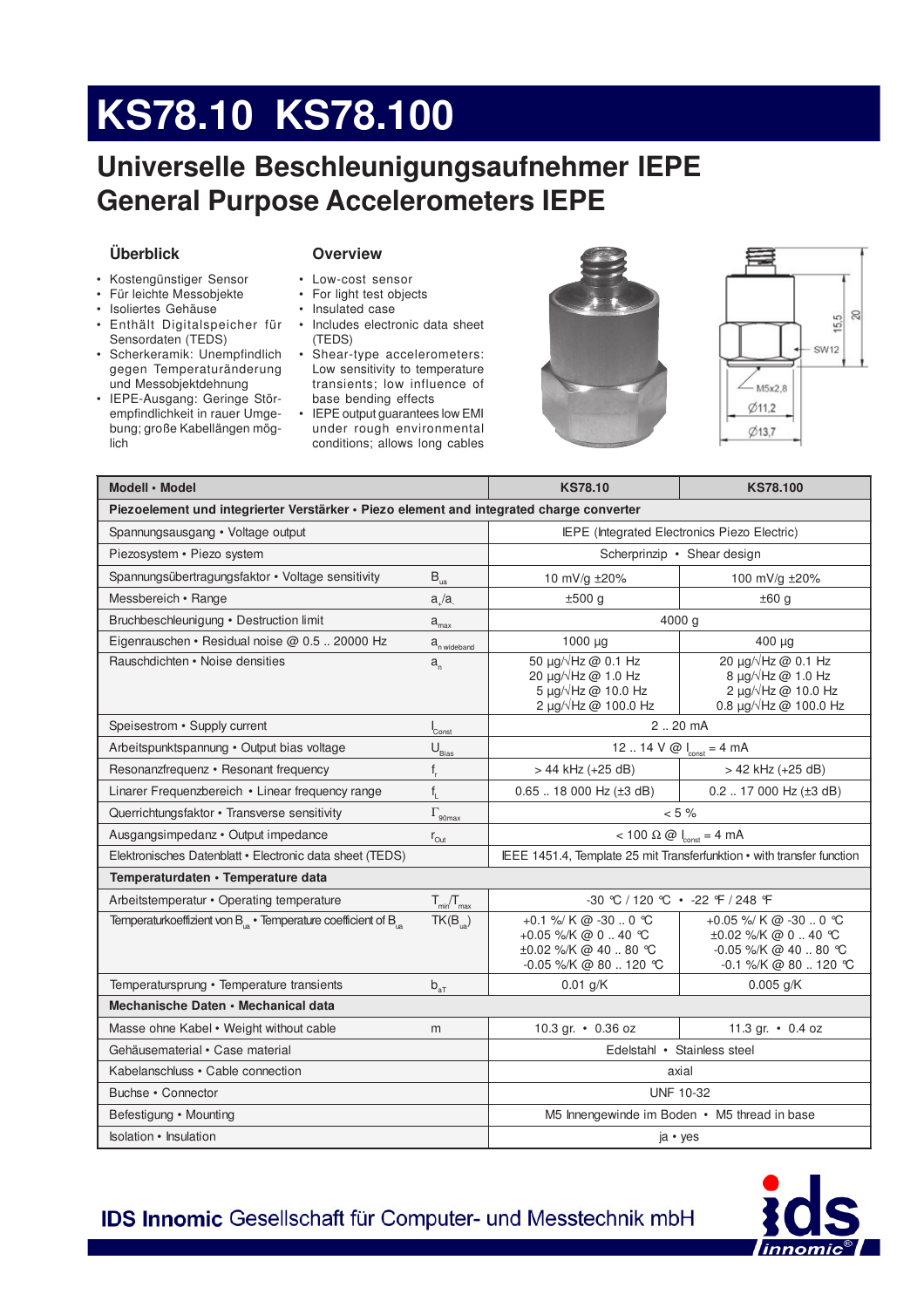# KS78.10 KS78.100

# Universelle Beschleunigungsaufnehmer IEPE **General Purpose Accelerometers IEPE**

## Überblick

- Kostengünstiger Sensor
- · Für leichte Messobjekte
- · Isoliertes Gehäuse
- Enthält Digitalspeicher für Sensordaten (TEDS)
- · Scherkeramik: Unempfindlich gegen Temperaturänderung und Messobjektdehnung
- · IEPE-Ausgang: Geringe Störempfindlichkeit in rauer Umgebung; große Kabellängen möglich

### **Overview**

- Low-cost sensor
- For light test objects
- Insulated case
- · Includes electronic data sheet (TEDS)
- Shear-type accelerometers: Low sensitivity to temperature transients; low influence of base bending effects
- IEPE output guarantees low EMI under rough environmental conditions; allows long cables





| Modell · Model                                                                           | <b>KS78.10</b>                               | <b>KS78.100</b>                                                                                                       |                                                                                                                    |  |  |  |  |  |  |
|------------------------------------------------------------------------------------------|----------------------------------------------|-----------------------------------------------------------------------------------------------------------------------|--------------------------------------------------------------------------------------------------------------------|--|--|--|--|--|--|
| Piezoelement und integrierter Verstärker · Piezo element and integrated charge converter |                                              |                                                                                                                       |                                                                                                                    |  |  |  |  |  |  |
| Spannungsausgang • Voltage output                                                        | IEPE (Integrated Electronics Piezo Electric) |                                                                                                                       |                                                                                                                    |  |  |  |  |  |  |
| Piezosystem · Piezo system                                                               | Scherprinzip • Shear design                  |                                                                                                                       |                                                                                                                    |  |  |  |  |  |  |
| Spannungsübertragungsfaktor • Voltage sensitivity                                        | $\mathsf{B}_{\mathrm{ua}}$                   | 10 mV/g ±20%                                                                                                          | 100 mV/g ±20%                                                                                                      |  |  |  |  |  |  |
| Messbereich • Range                                                                      | a/a                                          | ±500 g                                                                                                                | ±60 g                                                                                                              |  |  |  |  |  |  |
| Bruchbeschleunigung • Destruction limit                                                  | $a_{\text{max}}$                             | 4000 g                                                                                                                |                                                                                                                    |  |  |  |  |  |  |
| Eigenrauschen • Residual noise @ 0.5  20000 Hz                                           | $a_{n \text{ wideband}}$                     | $1000 \mu g$                                                                                                          | $400 \mu g$                                                                                                        |  |  |  |  |  |  |
| Rauschdichten • Noise densities                                                          | $a_{n}$                                      | 50 μg/ $\sqrt{Hz}$ @ 0.1 Hz<br>20 μg/ $\sqrt{Hz}$ @ 1.0 Hz<br>5 µg/√Hz @ 10.0 Hz<br>2 $\mu$ g/ $\sqrt{Hz}$ @ 100.0 Hz | 20 µg/√Hz @ 0.1 Hz<br>8 $\mu$ g/ $\sqrt{Hz}$ @ 1.0 Hz<br>2 µg/√Hz @ 10.0 Hz<br>0.8 $\mu$ g/ $\sqrt{Hz}$ @ 100.0 Hz |  |  |  |  |  |  |
| Speisestrom • Supply current                                                             | Const                                        | 2.20 mA                                                                                                               |                                                                                                                    |  |  |  |  |  |  |
| Arbeitspunktspannung · Output bias voltage                                               | $U_{\text{Bias}}$                            | 12  14 V @ $I_{\text{const}} = 4 \text{ mA}$                                                                          |                                                                                                                    |  |  |  |  |  |  |
| Resonanzfrequenz • Resonant frequency                                                    | $\mathsf{f}_{_{\! \mathrm{r}}}$              | > 44 kHz (+25 dB)                                                                                                     | > 42 kHz (+25 dB)                                                                                                  |  |  |  |  |  |  |
| Linarer Frequenzbereich • Linear frequency range                                         | $f_{\rm I}$                                  | $0.65$ 18 000 Hz ( $\pm 3$ dB)                                                                                        | $0.2$ 17 000 Hz ( $\pm$ 3 dB)                                                                                      |  |  |  |  |  |  |
| Querrichtungsfaktor • Transverse sensitivity                                             | $\Gamma_{\text{90max}}$                      | $< 5 \%$                                                                                                              |                                                                                                                    |  |  |  |  |  |  |
| Ausgangsimpedanz • Output impedance                                                      | $r_{\text{Out}}$                             | $< 100 \Omega \omega$ $\omega$ $\omega$ = 4 mA                                                                        |                                                                                                                    |  |  |  |  |  |  |
| Elektronisches Datenblatt · Electronic data sheet (TEDS)                                 |                                              | IEEE 1451.4, Template 25 mit Transferfunktion • with transfer function                                                |                                                                                                                    |  |  |  |  |  |  |
| Temperaturdaten · Temperature data                                                       |                                              |                                                                                                                       |                                                                                                                    |  |  |  |  |  |  |
| Arbeitstemperatur • Operating temperature                                                | $T_{\text{min}}/T_{\text{max}}$              |                                                                                                                       | -30 ℃ / 120 ℃ • -22 F / 248 F                                                                                      |  |  |  |  |  |  |
| Temperaturkoeffizient von B <sub>is</sub> · Temperature coefficient of B <sub>is</sub>   | $TK(B_{\text{in}})$                          | +0.1 %/ K @ -30  0 °C<br>+0.05 %/K @ 0  40 ℃<br>±0.02 %/K @ 40  80 °C<br>$-0.05$ %/K @ 80  120 °C                     | +0.05 %/ K @ -30  0 °C<br>$\pm 0.02$ %/K @ 0  40 °C<br>$-0.05$ %/K @ 40  80 °C<br>$-0.1$ %/K @ 80  120 °C          |  |  |  |  |  |  |
| Temperatursprung · Temperature transients                                                | $b_{aT}$                                     | $0.01$ g/K                                                                                                            | $0.005$ g/K                                                                                                        |  |  |  |  |  |  |
| Mechanische Daten • Mechanical data                                                      |                                              |                                                                                                                       |                                                                                                                    |  |  |  |  |  |  |
| Masse ohne Kabel • Weight without cable                                                  | m                                            | 10.3 gr. • 0.36 oz                                                                                                    | 11.3 gr. $\cdot$ 0.4 oz                                                                                            |  |  |  |  |  |  |
| Gehäusematerial • Case material                                                          | Edelstahl • Stainless steel                  |                                                                                                                       |                                                                                                                    |  |  |  |  |  |  |
| Kabelanschluss • Cable connection                                                        | axial                                        |                                                                                                                       |                                                                                                                    |  |  |  |  |  |  |
| Buchse • Connector                                                                       | <b>UNF 10-32</b>                             |                                                                                                                       |                                                                                                                    |  |  |  |  |  |  |
| Befestigung • Mounting                                                                   | M5 Innengewinde im Boden • M5 thread in base |                                                                                                                       |                                                                                                                    |  |  |  |  |  |  |
| enlation . Inculation                                                                    | $i\alpha$ . $i\alpha$                        |                                                                                                                       |                                                                                                                    |  |  |  |  |  |  |

**IDS Innomic Gesellschaft für Computer- und Messtechnik mbH**